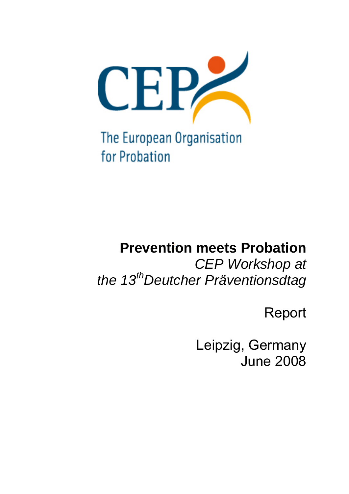

The European Organisation for Probation

# **Prevention meets Probation**

*CEP Workshop at the 13thDeutcher Präventionsdtag* 

Report

Leipzig, Germany June 2008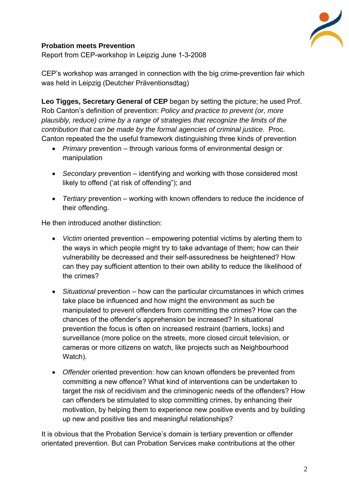

## **Probation meets Prevention**

Report from CEP-workshop in Leipzig June 1-3-2008

CEP's workshop was arranged in connection with the big crime-prevention fair which was held in Leipzig (Deutcher Präventionsdtag)

**Leo Tigges, Secretary General of CEP** began by setting the picture; he used Prof. Rob Canton's definition of prevention: *Policy and practice to prevent (or, more plausibly, reduce) crime by a range of strategies that recognize the limits of the contribution that can be made by the formal agencies of criminal justice.* Proc. Canton repeated the the useful framework distinguishing three kinds of prevention

- *Primary* prevention through various forms of environmental design or manipulation
- *Secondary* prevention identifying and working with those considered most likely to offend ('at risk of offending"); and
- *Tertiary* prevention working with known offenders to reduce the incidence of their offending.

He then introduced another distinction:

- *Victim* oriented prevention empowering potential victims by alerting them to the ways in which people might try to take advantage of them; how can their vulnerability be decreased and their self-assuredness be heightened? How can they pay sufficient attention to their own ability to reduce the likelihood of the crimes?
- *Situational* prevention how can the particular circumstances in which crimes take place be influenced and how might the environment as such be manipulated to prevent offenders from committing the crimes? How can the chances of the offender's apprehension be increased? In situational prevention the focus is often on increased restraint (barriers, locks) and surveillance (more police on the streets, more closed circuit television, or cameras or more citizens on watch, like projects such as Neighbourhood Watch).
- *Offender* oriented prevention: how can known offenders be prevented from committing a new offence? What kind of interventions can be undertaken to target the risk of recidivism and the criminogenic needs of the offenders? How can offenders be stimulated to stop committing crimes, by enhancing their motivation, by helping them to experience new positive events and by building up new and positive ties and meaningful relationships?

It is obvious that the Probation Service's domain is tertiary prevention or offender orientated prevention. But can Probation Services make contributions at the other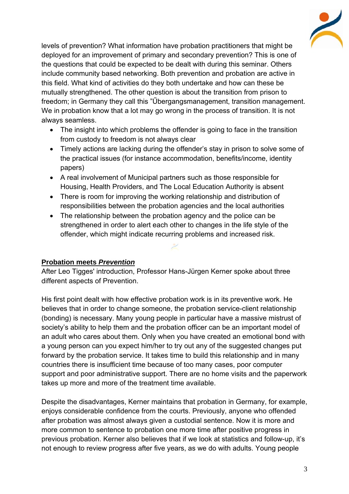

levels of prevention? What information have probation practitioners that might be deployed for an improvement of primary and secondary prevention? This is one of the questions that could be expected to be dealt with during this seminar. Others include community based networking. Both prevention and probation are active in this field. What kind of activities do they both undertake and how can these be mutually strengthened. The other question is about the transition from prison to freedom; in Germany they call this "Űbergangsmanagement, transition management. We in probation know that a lot may go wrong in the process of transition. It is not always seamless.

- The insight into which problems the offender is going to face in the transition from custody to freedom is not always clear
- Timely actions are lacking during the offender's stay in prison to solve some of the practical issues (for instance accommodation, benefits/income, identity papers)
- A real involvement of Municipal partners such as those responsible for Housing, Health Providers, and The Local Education Authority is absent
- There is room for improving the working relationship and distribution of responsibilities between the probation agencies and the local authorities
- The relationship between the probation agency and the police can be strengthened in order to alert each other to changes in the life style of the offender, which might indicate recurring problems and increased risk.

### **Probation meets** *Prevention*

After Leo Tigges' introduction, Professor Hans-Jürgen Kerner spoke about three different aspects of Prevention.

His first point dealt with how effective probation work is in its preventive work. He believes that in order to change someone, the probation service-client relationship (bonding) is necessary. Many young people in particular have a massive mistrust of society's ability to help them and the probation officer can be an important model of an adult who cares about them. Only when you have created an emotional bond with a young person can you expect him/her to try out any of the suggested changes put forward by the probation service. It takes time to build this relationship and in many countries there is insufficient time because of too many cases, poor computer support and poor administrative support. There are no home visits and the paperwork takes up more and more of the treatment time available.

Despite the disadvantages, Kerner maintains that probation in Germany, for example, enjoys considerable confidence from the courts. Previously, anyone who offended after probation was almost always given a custodial sentence. Now it is more and more common to sentence to probation one more time after positive progress in previous probation. Kerner also believes that if we look at statistics and follow-up, it's not enough to review progress after five years, as we do with adults. Young people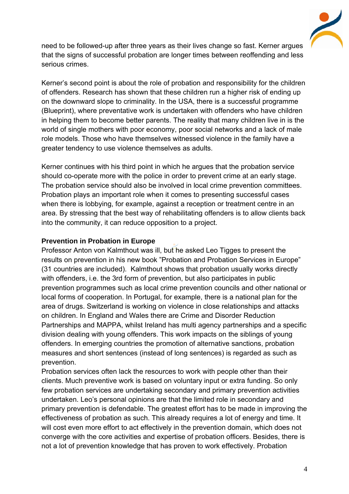

need to be followed-up after three years as their lives change so fast. Kerner argues that the signs of successful probation are longer times between reoffending and less serious crimes.

Kerner's second point is about the role of probation and responsibility for the children of offenders. Research has shown that these children run a higher risk of ending up on the downward slope to criminality. In the USA, there is a successful programme (Blueprint), where preventative work is undertaken with offenders who have children in helping them to become better parents. The reality that many children live in is the world of single mothers with poor economy, poor social networks and a lack of male role models. Those who have themselves witnessed violence in the family have a greater tendency to use violence themselves as adults.

Kerner continues with his third point in which he argues that the probation service should co-operate more with the police in order to prevent crime at an early stage. The probation service should also be involved in local crime prevention committees. Probation plays an important role when it comes to presenting successful cases when there is lobbying, for example, against a reception or treatment centre in an area. By stressing that the best way of rehabilitating offenders is to allow clients back into the community, it can reduce opposition to a project.

### **Prevention in Probation in Europe**

Professor Anton von Kalmthout was ill, but he asked Leo Tigges to present the results on prevention in his new book "Probation and Probation Services in Europe" (31 countries are included). Kalmthout shows that probation usually works directly with offenders, i.e. the 3rd form of prevention, but also participates in public prevention programmes such as local crime prevention councils and other national or local forms of cooperation. In Portugal, for example, there is a national plan for the area of drugs. Switzerland is working on violence in close relationships and attacks on children. In England and Wales there are Crime and Disorder Reduction Partnerships and MAPPA, whilst Ireland has multi agency partnerships and a specific division dealing with young offenders. This work impacts on the siblings of young offenders. In emerging countries the promotion of alternative sanctions, probation measures and short sentences (instead of long sentences) is regarded as such as prevention.

Probation services often lack the resources to work with people other than their clients. Much preventive work is based on voluntary input or extra funding. So only few probation services are undertaking secondary and primary prevention activities undertaken. Leo's personal opinions are that the limited role in secondary and primary prevention is defendable. The greatest effort has to be made in improving the effectiveness of probation as such. This already requires a lot of energy and time. It will cost even more effort to act effectively in the prevention domain, which does not converge with the core activities and expertise of probation officers. Besides, there is not a lot of prevention knowledge that has proven to work effectively. Probation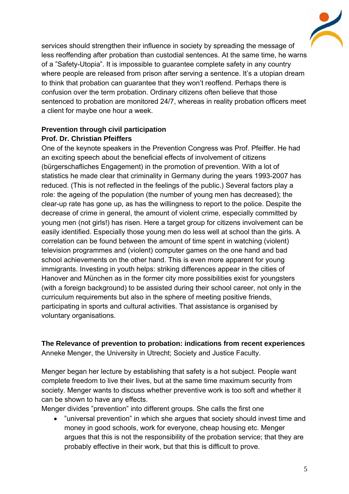

services should strengthen their influence in society by spreading the message of less reoffending after probation than custodial sentences. At the same time, he warns of a "Safety-Utopia". It is impossible to guarantee complete safety in any country where people are released from prison after serving a sentence. It's a utopian dream to think that probation can guarantee that they won't reoffend. Perhaps there is confusion over the term probation. Ordinary citizens often believe that those sentenced to probation are monitored 24/7, whereas in reality probation officers meet a client for maybe one hour a week.

## **Prevention through civil participation Prof. Dr. Christian Pfeiffers**

One of the keynote speakers in the Prevention Congress was Prof. Pfeiffer. He had an exciting speech about the beneficial effects of involvement of citizens (bürgerschafliches Engagement) in the promotion of prevention. With a lot of statistics he made clear that criminality in Germany during the years 1993-2007 has reduced. (This is not reflected in the feelings of the public.) Several factors play a role: the ageing of the population (the number of young men has decreased); the clear-up rate has gone up, as has the willingness to report to the police. Despite the decrease of crime in general, the amount of violent crime, especially committed by young men (not girls!) has risen. Here a target group for citizens involvement can be easily identified. Especially those young men do less well at school than the girls. A correlation can be found between the amount of time spent in watching (violent) television programmes and (violent) computer games on the one hand and bad school achievements on the other hand. This is even more apparent for young immigrants. Investing in youth helps: striking differences appear in the cities of Hanover and München as in the former city more possibilities exist for youngsters (with a foreign background) to be assisted during their school career, not only in the curriculum requirements but also in the sphere of meeting positive friends, participating in sports and cultural activities. That assistance is organised by voluntary organisations.

**The Relevance of prevention to probation: indications from recent experiences**  Anneke Menger, the University in Utrecht; Society and Justice Faculty.

Menger began her lecture by establishing that safety is a hot subject. People want complete freedom to live their lives, but at the same time maximum security from society. Menger wants to discuss whether preventive work is too soft and whether it can be shown to have any effects.

Menger divides "prevention" into different groups. She calls the first one

 "universal prevention" in which she argues that society should invest time and money in good schools, work for everyone, cheap housing etc. Menger argues that this is not the responsibility of the probation service; that they are probably effective in their work, but that this is difficult to prove.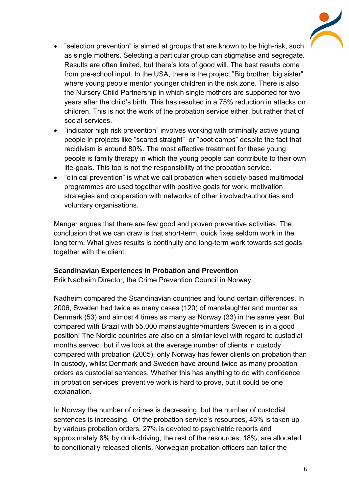

- "selection prevention" is aimed at groups that are known to be high-risk, such as single mothers. Selecting a particular group can stigmatise and segregate. Results are often limited, but there's lots of good will. The best results come from pre-school input. In the USA, there is the project "Big brother, big sister" where young people mentor younger children in the risk zone. There is also the Nursery Child Partnership in which single mothers are supported for two years after the child's birth. This has resulted in a 75% reduction in attacks on children. This is not the work of the probation service either, but rather that of social services.
- "indicator high risk prevention" involves working with criminally active young people in projects like "scared straight" or "boot camps" despite the fact that recidivism is around 80%. The most effective treatment for these young people is family therapy in which the young people can contribute to their own life-goals. This too is not the responsibility of the probation service.
- "clinical prevention" is what we call probation when society-based multimodal programmes are used together with positive goals for work, motivation strategies and cooperation with networks of other involved/authorities and voluntary organisations.

Menger argues that there are few good and proven preventive activities. The conclusion that we can draw is that short-term, quick fixes seldom work in the long term. What gives results is continuity and long-term work towards set goals together with the client.

### **Scandinavian Experiences in Probation and Prevention**

Erik Nadheim Director, the Crime Prevention Council in Norway.

Nadheim compared the Scandinavian countries and found certain differences. In 2006, Sweden had twice as many cases (120) of manslaughter and murder as Denmark (53) and almost 4 times as many as Norway (33) in the same year. But compared with Brazil with 55,000 manslaughter/murders Sweden is in a good position! The Nordic countries are also on a similar level with regard to custodial months served, but if we look at the average number of clients in custody compared with probation (2005), only Norway has fewer clients on probation than in custody, whilst Denmark and Sweden have around twice as many probation orders as custodial sentences. Whether this has anything to do with confidence in probation services' preventive work is hard to prove, but it could be one explanation.

In Norway the number of crimes is decreasing, but the number of custodial sentences is increasing. Of the probation service's resources, 45% is taken up by various probation orders, 27% is devoted to psychiatric reports and approximately 8% by drink-driving; the rest of the resources, 18%, are allocated to conditionally released clients. Norwegian probation officers can tailor the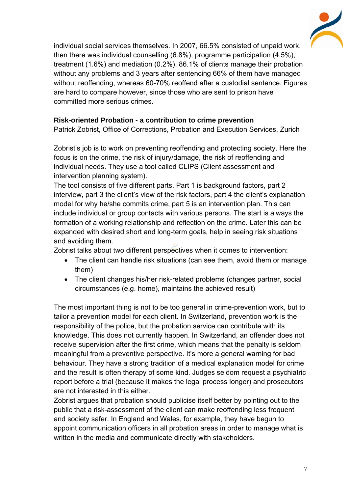

individual social services themselves. In 2007, 66.5% consisted of unpaid work, then there was individual counselling (6.8%), programme participation (4.5%), treatment (1.6%) and mediation (0.2%). 86.1% of clients manage their probation without any problems and 3 years after sentencing 66% of them have managed without reoffending, whereas 60-70% reoffend after a custodial sentence. Figures are hard to compare however, since those who are sent to prison have committed more serious crimes.

## **Risk-oriented Probation - a contribution to crime prevention**

Patrick Zobrist, Office of Corrections, Probation and Execution Services, Zurich

Zobrist's job is to work on preventing reoffending and protecting society. Here the focus is on the crime, the risk of injury/damage, the risk of reoffending and individual needs. They use a tool called CLIPS (Client assessment and intervention planning system).

The tool consists of five different parts. Part 1 is background factors, part 2 interview, part 3 the client's view of the risk factors, part 4 the client's explanation model for why he/she commits crime, part 5 is an intervention plan. This can include individual or group contacts with various persons. The start is always the formation of a working relationship and reflection on the crime. Later this can be expanded with desired short and long-term goals, help in seeing risk situations and avoiding them.

Zobrist talks about two different perspectives when it comes to intervention:

- The client can handle risk situations (can see them, avoid them or manage them)
- The client changes his/her risk-related problems (changes partner, social circumstances (e.g. home), maintains the achieved result)

The most important thing is not to be too general in crime-prevention work, but to tailor a prevention model for each client. In Switzerland, prevention work is the responsibility of the police, but the probation service can contribute with its knowledge. This does not currently happen. In Switzerland, an offender does not receive supervision after the first crime, which means that the penalty is seldom meaningful from a preventive perspective. It's more a general warning for bad behaviour. They have a strong tradition of a medical explanation model for crime and the result is often therapy of some kind. Judges seldom request a psychiatric report before a trial (because it makes the legal process longer) and prosecutors are not interested in this either.

Zobrist argues that probation should publicise itself better by pointing out to the public that a risk-assessment of the client can make reoffending less frequent and society safer. In England and Wales, for example, they have begun to appoint communication officers in all probation areas in order to manage what is written in the media and communicate directly with stakeholders.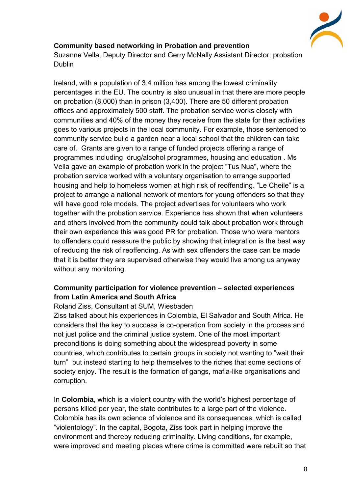

## **Community based networking in Probation and prevention**

Suzanne Vella, Deputy Director and Gerry McNally Assistant Director, probation Dublin

Ireland, with a population of 3.4 million has among the lowest criminality percentages in the EU. The country is also unusual in that there are more people on probation (8,000) than in prison (3,400). There are 50 different probation offices and approximately 500 staff. The probation service works closely with communities and 40% of the money they receive from the state for their activities goes to various projects in the local community. For example, those sentenced to community service build a garden near a local school that the children can take care of. Grants are given to a range of funded projects offering a range of programmes including drug/alcohol programmes, housing and education . Ms Vella gave an example of probation work in the project "Tus Nua", where the probation service worked with a voluntary organisation to arrange supported housing and help to homeless women at high risk of reoffending. "Le Cheile" is a project to arrange a national network of mentors for young offenders so that they will have good role models. The project advertises for volunteers who work together with the probation service. Experience has shown that when volunteers and others involved from the community could talk about probation work through their own experience this was good PR for probation. Those who were mentors to offenders could reassure the public by showing that integration is the best way of reducing the risk of reoffending. As with sex offenders the case can be made that it is better they are supervised otherwise they would live among us anyway without any monitoring.

## **Community participation for violence prevention – selected experiences from Latin America and South Africa**

### Roland Ziss, Consultant at SUM, Wiesbaden

Ziss talked about his experiences in Colombia, El Salvador and South Africa. He considers that the key to success is co-operation from society in the process and not just police and the criminal justice system. One of the most important preconditions is doing something about the widespread poverty in some countries, which contributes to certain groups in society not wanting to "wait their turn" but instead starting to help themselves to the riches that some sections of society enjoy. The result is the formation of gangs, mafia-like organisations and corruption.

In **Colombia**, which is a violent country with the world's highest percentage of persons killed per year, the state contributes to a large part of the violence. Colombia has its own science of violence and its consequences, which is called "violentology". In the capital, Bogota, Ziss took part in helping improve the environment and thereby reducing criminality. Living conditions, for example, were improved and meeting places where crime is committed were rebuilt so that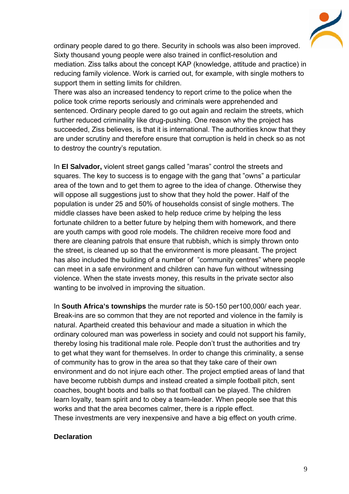

ordinary people dared to go there. Security in schools was also been improved. Sixty thousand young people were also trained in conflict-resolution and mediation. Ziss talks about the concept KAP (knowledge, attitude and practice) in reducing family violence. Work is carried out, for example, with single mothers to support them in setting limits for children.

There was also an increased tendency to report crime to the police when the police took crime reports seriously and criminals were apprehended and sentenced. Ordinary people dared to go out again and reclaim the streets, which further reduced criminality like drug-pushing. One reason why the project has succeeded, Ziss believes, is that it is international. The authorities know that they are under scrutiny and therefore ensure that corruption is held in check so as not to destroy the country's reputation.

In **El Salvador,** violent street gangs called "maras" control the streets and squares. The key to success is to engage with the gang that "owns" a particular area of the town and to get them to agree to the idea of change. Otherwise they will oppose all suggestions just to show that they hold the power. Half of the population is under 25 and 50% of households consist of single mothers. The middle classes have been asked to help reduce crime by helping the less fortunate children to a better future by helping them with homework, and there are youth camps with good role models. The children receive more food and there are cleaning patrols that ensure that rubbish, which is simply thrown onto the street, is cleaned up so that the environment is more pleasant. The project has also included the building of a number of "community centres" where people can meet in a safe environment and children can have fun without witnessing violence. When the state invests money, this results in the private sector also wanting to be involved in improving the situation.

In **South Africa's townships** the murder rate is 50-150 per100,000/ each year. Break-ins are so common that they are not reported and violence in the family is natural. Apartheid created this behaviour and made a situation in which the ordinary coloured man was powerless in society and could not support his family, thereby losing his traditional male role. People don't trust the authorities and try to get what they want for themselves. In order to change this criminality, a sense of community has to grow in the area so that they take care of their own environment and do not injure each other. The project emptied areas of land that have become rubbish dumps and instead created a simple football pitch, sent coaches, bought boots and balls so that football can be played. The children learn loyalty, team spirit and to obey a team-leader. When people see that this works and that the area becomes calmer, there is a ripple effect. These investments are very inexpensive and have a big effect on youth crime.

#### **Declaration**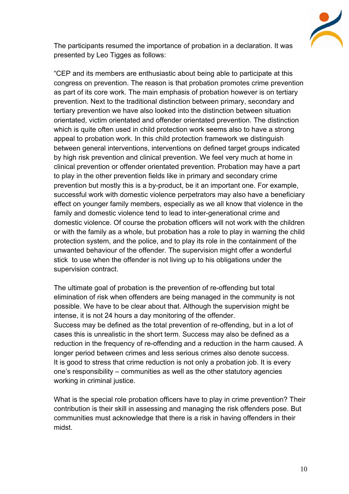

The participants resumed the importance of probation in a declaration. It was presented by Leo Tigges as follows:

"CEP and its members are enthusiastic about being able to participate at this congress on prevention. The reason is that probation promotes crime prevention as part of its core work. The main emphasis of probation however is on tertiary prevention. Next to the traditional distinction between primary, secondary and tertiary prevention we have also looked into the distinction between situation orientated, victim orientated and offender orientated prevention. The distinction which is quite often used in child protection work seems also to have a strong appeal to probation work. In this child protection framework we distinguish between general interventions, interventions on defined target groups indicated by high risk prevention and clinical prevention. We feel very much at home in clinical prevention or offender orientated prevention. Probation may have a part to play in the other prevention fields like in primary and secondary crime prevention but mostly this is a by-product, be it an important one. For example, successful work with domestic violence perpetrators may also have a beneficiary effect on younger family members, especially as we all know that violence in the family and domestic violence tend to lead to inter-generational crime and domestic violence. Of course the probation officers will not work with the children or with the family as a whole, but probation has a role to play in warning the child protection system, and the police, and to play its role in the containment of the unwanted behaviour of the offender. The supervision might offer a wonderful stick to use when the offender is not living up to his obligations under the supervision contract.

The ultimate goal of probation is the prevention of re-offending but total elimination of risk when offenders are being managed in the community is not possible. We have to be clear about that. Although the supervision might be intense, it is not 24 hours a day monitoring of the offender. Success may be defined as the total prevention of re-offending, but in a lot of cases this is unrealistic in the short term. Success may also be defined as a reduction in the frequency of re-offending and a reduction in the harm caused. A longer period between crimes and less serious crimes also denote success. It is good to stress that crime reduction is not only a probation job. It is every one's responsibility – communities as well as the other statutory agencies working in criminal justice.

What is the special role probation officers have to play in crime prevention? Their contribution is their skill in assessing and managing the risk offenders pose. But communities must acknowledge that there is a risk in having offenders in their midst.